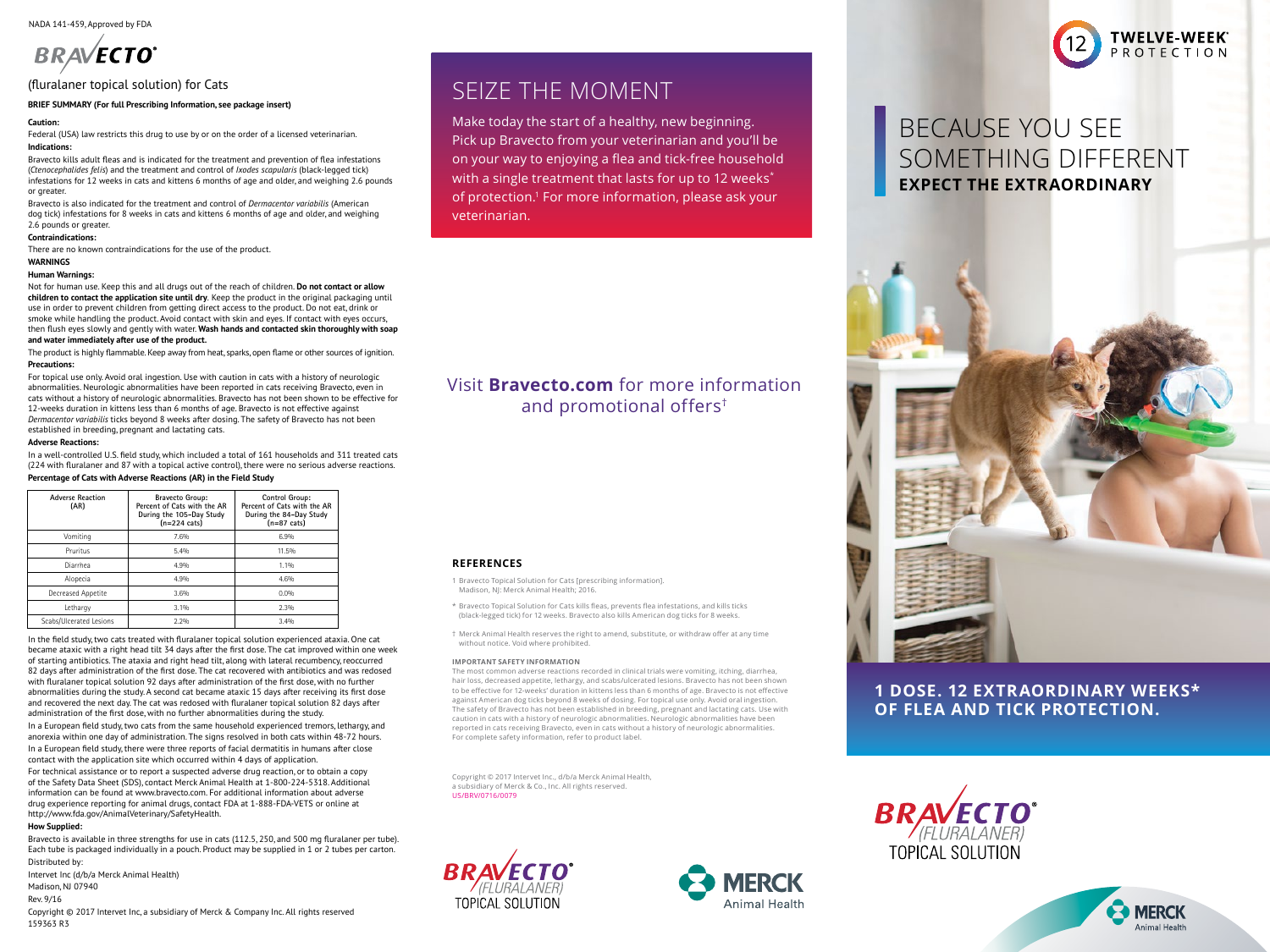NADA 141-459, Approved by FDA

# **BRAVECTO**

## (fluralaner topical solution) for Cats (fluralaner topical solution) for Cats

# **MRIEF SUMMARY (For full Prescribing Information, see package insert)**

#### **Caution:**  $\mathbf{F}$  tube is formulated to provide a minimum dose of 18.2 mg/kg) body weight. Each (40 mg/kg) body weight. Each (40 mg/kg) body weight. Each (40 mg/kg) body weight. Each (40 mg/kg) body weight. Each (40 mg/kg) body we  $\frac{1}{2}$

Federal (USA) law restricts this drug to use by or on the order of a licensed veterinarian. **Indications:** dimethylacetamide. Indications: dimethylacetamide, glycofurol, dimethyltology. Indications: dimethyl

Bravecto kills adult fleas and is indicated for the treatment and prevention of flea infestations **COL OR YOUT WATER** (Ctenocephalides felis) and the treatment and control of *lxodes scapularis* (black-legged tick) **1998** (Ctenocephalides felis) and the treatment and control of *lxodes scapularis* (black-legged tick) infestations for 12 weeks in cats and kittens 6 months of age and older, and weighing 2.6 pounds **With a sing** or greater. or greater. Bravecto is also indicated for the treatment and control of *Dermacentor variabilis* (American dog

Percentage of Cats with Adverse Reactions (AR) in the Field Study

**Percent of Cats with the AR During the 105-Day Study** 

Pruritus 5.4% 11.5%

In a European field study, there were three reports of facial dermatitis in humans after close contact

le and older, and weighing **in the same in the veterinarian.** Bravecto is also indicated for the treatment and control of Dermacentor variabilis (American or greater is also moncated for the treatment and control or *bermatemer variables* (American)<br>dog tick) infestations for 8 weeks in cats and kittens 6 months of age and older, and weighing 2.6 pounds or greater. **Dosage Schedule** below to provide a minimum dose of 18.2 mg/lb (40 mg/kg) body weight. anorexia within one day of administration. The signs resolved in both cats within 48-72 hours.

#### **Contraindications:**

There are no known contraindications for the use of the product.

#### **WARNINGS**

# wakinings<br>Human Warnings:

rland it varinings.<br>Not for human use. Keep this and all drugs out of the reach of children. **Do not contact or allow** children to contact the application site until dry. Keep the product in the original packaging until use in order to prevent children from getting direct access to the product. Do not eat, drink or smoke while handling the product. Avoid contact with skin and eyes. If contact with eyes occurs, then flush eyes slowly and gently with water. Wash hands and contacted skin thoroughly with soap and water immediately after use of the product. (GABA)-receptor and glutamate-receptor).

and recent minimization, and the on-the product.<br>The product is highly flammable. Keep away from heat, sparks, open flame or other sources of ignition.<br>-**Precautions:**  $t_{\rm s}$  and reduced the number of live fleas on cats by  $98\%$ original packaging until use in order to product children from getting direct access to the product. Do not eat, drink or smoke which or smoke while handling the product. Avoid contact with the product. Avoid contact with

For topical use only. Avoid oral ingestion. Use with caution in cats with a history of neurologic  $\mathcal{L}$  and  $\mathcal{L}$  and  $\mathcal{L}$  and  $\mathcal{L}$  and  $\mathcal{L}$  and  $\mathcal{L}$  and  $\mathcal{L}$  and  $\mathcal{L}$  and  $\mathcal{L}$  and  $\mathcal{L$ abnormalities. Neurologic abnormalities have been reported in cats receiving Bravecto, even in **b** cats without a history of neurologic abnormalities. Bravecto has not been shown to be effective for 12-weeks duration in kittens less than 6 months of age. Bravecto is not effective against Dermacentor variabilis ticks beyond 8 weeks after dosing. The safety of Bravecto has not been established in breeding, pregnant and lactating cats. effective against *Dermacentor variabilis* ticks beyond 8 weeks after dosing. The safety of Bravecto has not been established in breeding, pregnant and lactating cats.

#### **Adverse Reactions:**

In a well-controlled U.S. field study, which included a total of 161 households and 311 treated cats (224 with fluralaner and 87 with a topical active control), there were no serious adverse reactions.

#### **Percentage of Cats with Adverse Reactions (AR) in the Field Study Percentage of Cats with Adverse Reactions (AR) in the Field Study**

| 7.6%<br>6.9%<br>5.4%<br>11.5%        | <b>Adverse Reaction</b><br>(AR) |
|--------------------------------------|---------------------------------|
|                                      | Vomiting                        |
|                                      | Pruritus                        |
| <b>REFERENCES</b><br>1.1%<br>4.9%    | Diarrhea                        |
| 4.6%<br>4.9%<br>1 Bravecto Topical S | Alopecia                        |
| Madison, NJ: Mercl<br>3.6%<br>0.0%   | Decreased Appetite              |
| * Bravecto Topical S<br>3.1%<br>2.3% | Lethargy                        |
| (black-legged tick)<br>2.2%<br>3.4%  | Scabs/Ulcerated Lesions         |

In the field study, two cats treated with fluralaner topical solution experienced ataxia. One cat There are the messerves without notice. Void where pro m are need stay, from and started with a manufacture of the case of the case of the case of the case of the state of the proved with a right head tilt 34 days after the first dose. The cat improved within one week of starting antibiotics. The ataxia and right head tilt, along with lateral recumbency, reoccurred and an important safety infor or starting antibodics. The atake and right head title about with artibiotics and was redosed<br>82 days after administration of the first dose. The cat recovered with antibiotics and was redosed The most common adverse react with fluralaner topical solution 92 days after administration of the first dose, with no further Montralities during the study. A second cat became ataxic 15 days after receiving its first dose to be effective for 12-weeks' dura adiformatities during the study. A second cat became ataxic 15 days after receiving its mist dost<br>and recovered the next day. The cat was redosed with fluralaner topical solution 82 days after administration of the first dose, with no further abnormalities during the study. The safety of Bravecto has t<br>administration of the first dose, with no further abnormalities during the study.

In a European field study, two cats from the same household experienced tremors, lethargy, and anorexia within one day of administration. The signs resolved in both cats within 48-72 hours. The procedured selections based on the signs resolved in both cats within 48-72 hours. The complete safety information,

In a European field study, there were three reports of facial dermatitis in humans after close contact with the application site which occurred within 4 days of application.

For technical assistance or to report a suspected adverse drug reaction, or to obtain a copy of the Safety Data Sheet (SDS), contact Merck Animal Health at 1-800-224-5318. Additional information can be found at www.bravecto.com. For additional information about adverse drug experience reporting for animal drugs, contact FDA at 1-888-FDA-VETS or online at http://www.fda.gov/AnimalVeterinary/SafetyHealth.

#### **How Supplied:**

How Supplied:<br>Bravecto is available in three strengths for use in cats (112.5, 250, and 500 mg fluralaner per tube). Each tube is packaged individually in a pouch. Product may be supplied in 1 or 2 tubes per carton. Distributed by: bravecto

Intervet Inc (d/b/a Merck Animal Health) Madison, NJ 07940 Rev. 9/16 Copyright © 2017 Intervet Inc, a subsidiary of Merck & Company Inc. All rights reserved 159363 R3

## **SEIZE THE MOMENT** Vomiting 7.6% 6.9%

a Make today the start of a healthy, new beginning. Pick up Bravecto from your veterinarian and you'll be on your way to enjoying a flea and tick-free household with a single treatment that lasts for up to 12 weeks<sup>\*</sup> of protection.<sup>1</sup> For more information, please ask your Scabs/Ulcerated Lesions 2.2% 3.4%

# Visit **Bravecto.com** for more information and promotional offers†

1 Bravecto Topical Solution for Cats [prescribing information]. Madison, NJ: Merck Animal Health; 2016.

> \* Bravecto Topical Solution for Cats kills fleas, prevents flea infestations, and kills ticks (black-legged tick) for 12 weeks. Bravecto also kills American dog ticks for 8 weeks.

† Merck Animal Health reserves the right to amend, substitute, or withdraw offer at any time without notice. Void where prohibited.

#### **IMPORTANT SAFETY INFORMATION**

The most common adverse reactions recorded in clinical trials were vomiting, itching, diarrhea, hair loss, decreased appetite, lethargy, and scabs/ulcerated lesions. Bravecto has not been shown to be effective for 12-weeks' duration in kittens less than 6 months of age. Bravecto is not effective against American dog ticks beyond 8 weeks of dosing. For topical use only. Avoid oral ingestion. The safety of Bravecto has not been established in breeding, pregnant and lactating cats. Use with caution in cats with a history of neurologic abnormalities. Neurologic abnormalities have been reported in cats receiving Bravecto, even in cats without a history of neurologic abnormalities. For complete safety information, refer to product label.

Copyright © 2017 Intervet Inc., d/b/a Merck Animal Health, a subsidiary of Merck & Co., Inc. All rights reserved. US/BRV/0716/0079





# BECAUSE YOU SEE SOMETHING DIFFERENT **EXPECT THE EXTRAORDINARY**

rwelve-week<sup>.</sup>

PROTECTION



# **1 DOSE. 12 EXTRAORDINARY WEEKS\* OF FLEA AND TICK PROTECTION.**